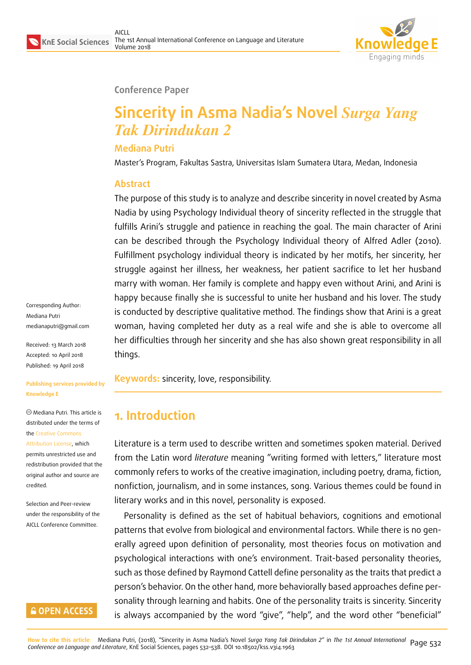

### **Conference Paper**

# **Sincerity in Asma Nadia's Novel** *Surga Yang Tak Dirindukan 2*

### **Mediana Putri**

Master's Program, Fakultas Sastra, Universitas Islam Sumatera Utara, Medan, Indonesia

### **Abstract**

The purpose of this study is to analyze and describe sincerity in novel created by Asma Nadia by using Psychology Individual theory of sincerity reflected in the struggle that fulfills Arini's struggle and patience in reaching the goal. The main character of Arini can be described through the Psychology Individual theory of Alfred Adler (2010). Fulfillment psychology individual theory is indicated by her motifs, her sincerity, her struggle against her illness, her weakness, her patient sacrifice to let her husband marry with woman. Her family is complete and happy even without Arini, and Arini is happy because finally she is successful to unite her husband and his lover. The study is conducted by descriptive qualitative method. The findings show that Arini is a great woman, having completed her duty as a real wife and she is able to overcome all her difficulties through her sincerity and she has also shown great responsibility in all things.

**Keywords:** sincerity, love, responsibility.

## **1. Introduction**

Literature is a term used to describe written and sometimes spoken material. Derived from the Latin word *literature* meaning "writing formed with letters," literature most commonly refers to works of the creative imagination, including poetry, drama, fiction, nonfiction, journalism, and in some instances, song. Various themes could be found in literary works and in this novel, personality is exposed.

Personality is defined as the set of habitual behaviors, cognitions and emotional patterns that evolve from biological and environmental factors. While there is no generally agreed upon definition of personality, most theories focus on motivation and psychological interactions with one's environment. Trait-based personality theories, such as those defined by Raymond Cattell define personality as the traits that predict a person's behavior. On the other hand, more behaviorally based approaches define personality through learning and habits. One of the personality traits is sincerity. Sincerity is always accompanied by the word "give", "help", and the word other "beneficial"

Corresponding Author: Mediana Putri medianaputri@gmail.com

Received: 13 March 2018 Accepted: 10 April 2018 [Published: 19 April 2018](mailto:medianaputri@gmail.com)

#### **Publishing services provided by Knowledge E**

Mediana Putri. This article is distributed under the terms of the Creative Commons Attribution License, which permits unrestricted use and

redistribution provided that the ori[ginal author and sou](https://creativecommons.org/licenses/by/4.0/)rce are [credited.](https://creativecommons.org/licenses/by/4.0/)

Selection and Peer-review under the responsibility of the AICLL Conference Committee.

### **GOPEN ACCESS**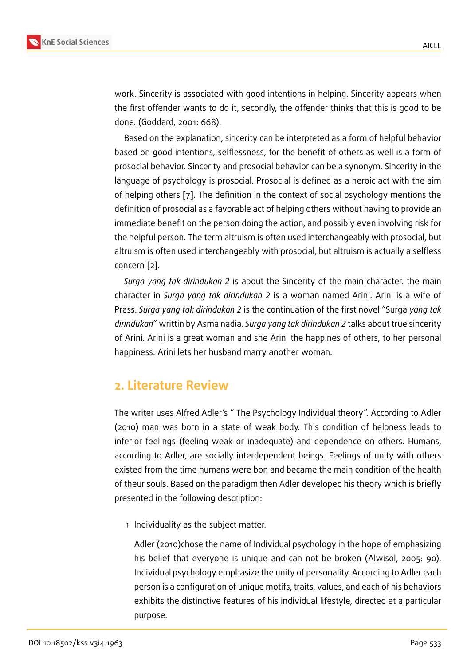work. Sincerity is associated with good intentions in helping. Sincerity appears when the first offender wants to do it, secondly, the offender thinks that this is good to be done. (Goddard, 2001: 668).

Based on the explanation, sincerity can be interpreted as a form of helpful behavior based on good intentions, selflessness, for the benefit of others as well is a form of prosocial behavior. Sincerity and prosocial behavior can be a synonym. Sincerity in the language of psychology is prosocial. Prosocial is defined as a heroic act with the aim of helping others [7]. The definition in the context of social psychology mentions the definition of prosocial as a favorable act of helping others without having to provide an immediate benefit on the person doing the action, and possibly even involving risk for the helpful person[. T](#page-6-0)he term altruism is often used interchangeably with prosocial, but altruism is often used interchangeably with prosocial, but altruism is actually a selfless concern [2].

*Surga yang tak dirindukan 2* is about the Sincerity of the main character. the main character in *Surga yang tak dirindukan 2* is a woman named Arini. Arini is a wife of Prass. *Su[rg](#page-6-1)a yang tak dirindukan 2* is the continuation of the first novel "Surga *yang tak dirindukan*" writtin by Asma nadia. *Surga yang tak dirindukan 2* talks about true sincerity of Arini. Arini is a great woman and she Arini the happines of others, to her personal happiness. Arini lets her husband marry another woman.

## **2. Literature Review**

The writer uses Alfred Adler's " The Psychology Individual theory". According to Adler (2010) man was born in a state of weak body. This condition of helpness leads to inferior feelings (feeling weak or inadequate) and dependence on others. Humans, according to Adler, are socially interdependent beings. Feelings of unity with others existed from the time humans were bon and became the main condition of the health of theur souls. Based on the paradigm then Adler developed his theory which is briefly presented in the following description:

1. Individuality as the subject matter.

Adler (2010)chose the name of Individual psychology in the hope of emphasizing his belief that everyone is unique and can not be broken (Alwisol, 2005: 90). Individual psychology emphasize the unity of personality. According to Adler each person is a configuration of unique motifs, traits, values, and each of his behaviors exhibits the distinctive features of his individual lifestyle, directed at a particular purpose.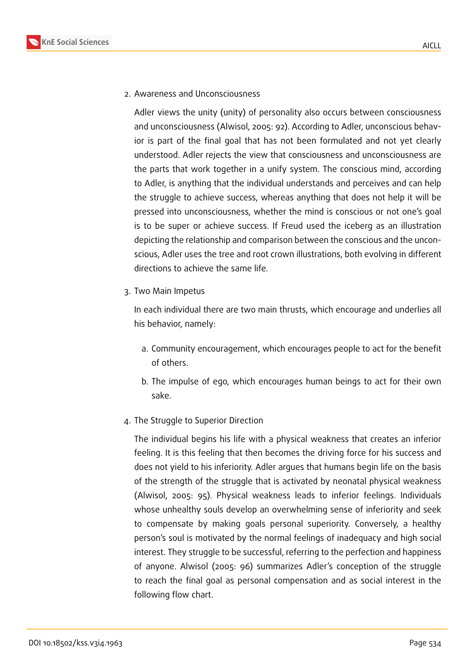

2. Awareness and Unconsciousness

Adler views the unity (unity) of personality also occurs between consciousness and unconsciousness (Alwisol, 2005: 92). According to Adler, unconscious behavior is part of the final goal that has not been formulated and not yet clearly understood. Adler rejects the view that consciousness and unconsciousness are the parts that work together in a unify system. The conscious mind, according to Adler, is anything that the individual understands and perceives and can help the struggle to achieve success, whereas anything that does not help it will be pressed into unconsciousness, whether the mind is conscious or not one's goal is to be super or achieve success. If Freud used the iceberg as an illustration depicting the relationship and comparison between the conscious and the unconscious, Adler uses the tree and root crown illustrations, both evolving in different directions to achieve the same life.

3. Two Main Impetus

In each individual there are two main thrusts, which encourage and underlies all his behavior, namely:

- a. Community encouragement, which encourages people to act for the benefit of others.
- b. The impulse of ego, which encourages human beings to act for their own sake.
- 4. The Struggle to Superior Direction

The individual begins his life with a physical weakness that creates an inferior feeling. It is this feeling that then becomes the driving force for his success and does not yield to his inferiority. Adler argues that humans begin life on the basis of the strength of the struggle that is activated by neonatal physical weakness (Alwisol, 2005: 95). Physical weakness leads to inferior feelings. Individuals whose unhealthy souls develop an overwhelming sense of inferiority and seek to compensate by making goals personal superiority. Conversely, a healthy person's soul is motivated by the normal feelings of inadequacy and high social interest. They struggle to be successful, referring to the perfection and happiness of anyone. Alwisol (2005: 96) summarizes Adler's conception of the struggle to reach the final goal as personal compensation and as social interest in the following flow chart.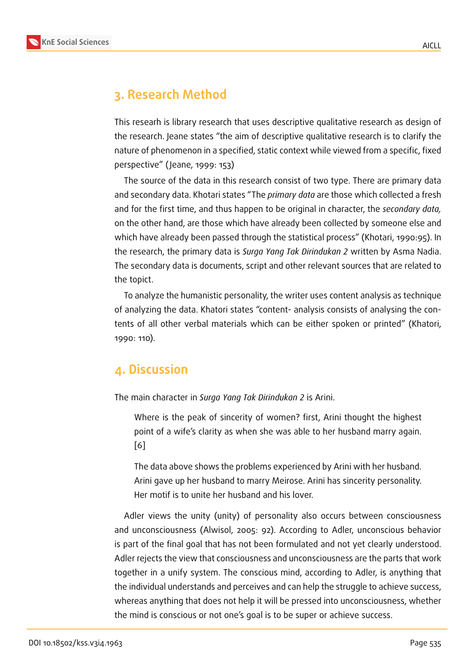## **3. Research Method**

This researh is library research that uses descriptive qualitative research as design of the research. Jeane states "the aim of descriptive qualitative research is to clarify the nature of phenomenon in a specified, static context while viewed from a specific, fixed perspective" ( Jeane, 1999: 153)

The source of the data in this research consist of two type. There are primary data and secondary data. Khotari states "The *primary data* are those which collected a fresh and for the first time, and thus happen to be original in character, the *secondary data,* on the other hand, are those which have already been collected by someone else and which have already been passed through the statistical process" (Khotari, 1990:95). In the research, the primary data is *Surga Yang Tak Dirindukan 2* written by Asma Nadia. The secondary data is documents, script and other relevant sources that are related to the topict.

To analyze the humanistic personality, the writer uses content analysis as technique of analyzing the data. Khatori states "content- analysis consists of analysing the contents of all other verbal materials which can be either spoken or printed" (Khatori, 1990: 110).

### **4. Discussion**

The main character in *Surga Yang Tak Dirindukan 2* is Arini.

Where is the peak of sincerity of women? first, Arini thought the highest point of a wife's clarity as when she was able to her husband marry again. [6]

The data above shows the problems experienced by Arini with her husband. [Ar](#page-6-2)ini gave up her husband to marry Meirose. Arini has sincerity personality. Her motif is to unite her husband and his lover.

Adler views the unity (unity) of personality also occurs between consciousness and unconsciousness (Alwisol, 2005: 92). According to Adler, unconscious behavior is part of the final goal that has not been formulated and not yet clearly understood. Adler rejects the view that consciousness and unconsciousness are the parts that work together in a unify system. The conscious mind, according to Adler, is anything that the individual understands and perceives and can help the struggle to achieve success, whereas anything that does not help it will be pressed into unconsciousness, whether the mind is conscious or not one's goal is to be super or achieve success.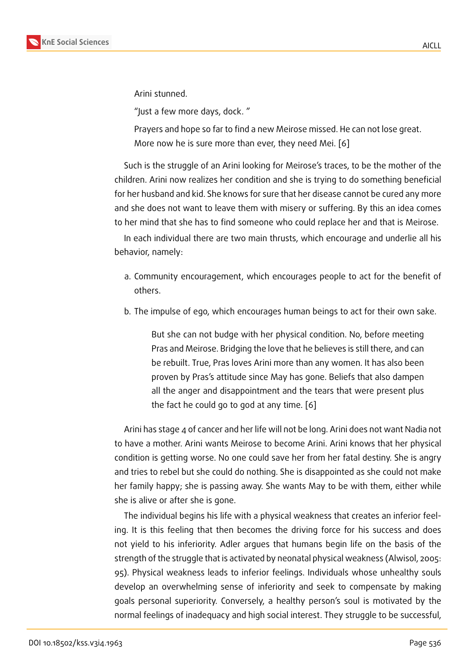Arini stunned.

"Just a few more days, dock. "

Prayers and hope so far to find a new Meirose missed. He can not lose great. More now he is sure more than ever, they need Mei. [6]

Such is the struggle of an Arini looking for Meirose's traces, to be the mother of the children. Arini now realizes her condition and she is trying [to](#page-6-2) do something beneficial for her husband and kid. She knows for sure that her disease cannot be cured any more and she does not want to leave them with misery or suffering. By this an idea comes to her mind that she has to find someone who could replace her and that is Meirose.

In each individual there are two main thrusts, which encourage and underlie all his behavior, namely:

- a. Community encouragement, which encourages people to act for the benefit of others.
- b. The impulse of ego, which encourages human beings to act for their own sake.

But she can not budge with her physical condition. No, before meeting Pras and Meirose. Bridging the love that he believes is still there, and can be rebuilt. True, Pras loves Arini more than any women. It has also been proven by Pras's attitude since May has gone. Beliefs that also dampen all the anger and disappointment and the tears that were present plus the fact he could go to god at any time. [6]

Arini has stage 4 of cancer and her life will not be long. Arini does not want Nadia not to have a mother. Arini wants Meirose to become [Ar](#page-6-2)ini. Arini knows that her physical condition is getting worse. No one could save her from her fatal destiny. She is angry and tries to rebel but she could do nothing. She is disappointed as she could not make her family happy; she is passing away. She wants May to be with them, either while she is alive or after she is gone.

The individual begins his life with a physical weakness that creates an inferior feeling. It is this feeling that then becomes the driving force for his success and does not yield to his inferiority. Adler argues that humans begin life on the basis of the strength of the struggle that is activated by neonatal physical weakness (Alwisol, 2005: 95). Physical weakness leads to inferior feelings. Individuals whose unhealthy souls develop an overwhelming sense of inferiority and seek to compensate by making goals personal superiority. Conversely, a healthy person's soul is motivated by the normal feelings of inadequacy and high social interest. They struggle to be successful,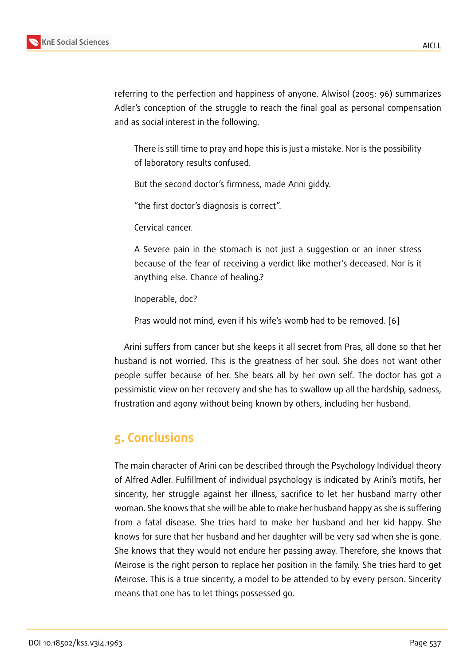referring to the perfection and happiness of anyone. Alwisol (2005: 96) summarizes Adler's conception of the struggle to reach the final goal as personal compensation and as social interest in the following.

There is still time to pray and hope this is just a mistake. Nor is the possibility of laboratory results confused.

But the second doctor's firmness, made Arini giddy.

"the first doctor's diagnosis is correct".

Cervical cancer.

A Severe pain in the stomach is not just a suggestion or an inner stress because of the fear of receiving a verdict like mother's deceased. Nor is it anything else. Chance of healing.?

Inoperable, doc?

Pras would not mind, even if his wife's womb had to be removed. [6]

Arini suffers from cancer but she keeps it all secret from Pras, all done so that her husband is not worried. This is the greatness of her soul. She does n[ot](#page-6-2) want other people suffer because of her. She bears all by her own self. The doctor has got a pessimistic view on her recovery and she has to swallow up all the hardship, sadness, frustration and agony without being known by others, including her husband.

## **5. Conclusions**

The main character of Arini can be described through the Psychology Individual theory of Alfred Adler. Fulfillment of individual psychology is indicated by Arini's motifs, her sincerity, her struggle against her illness, sacrifice to let her husband marry other woman. She knows that she will be able to make her husband happy as she is suffering from a fatal disease. She tries hard to make her husband and her kid happy. She knows for sure that her husband and her daughter will be very sad when she is gone. She knows that they would not endure her passing away. Therefore, she knows that Meirose is the right person to replace her position in the family. She tries hard to get Meirose. This is a true sincerity, a model to be attended to by every person. Sincerity means that one has to let things possessed go.